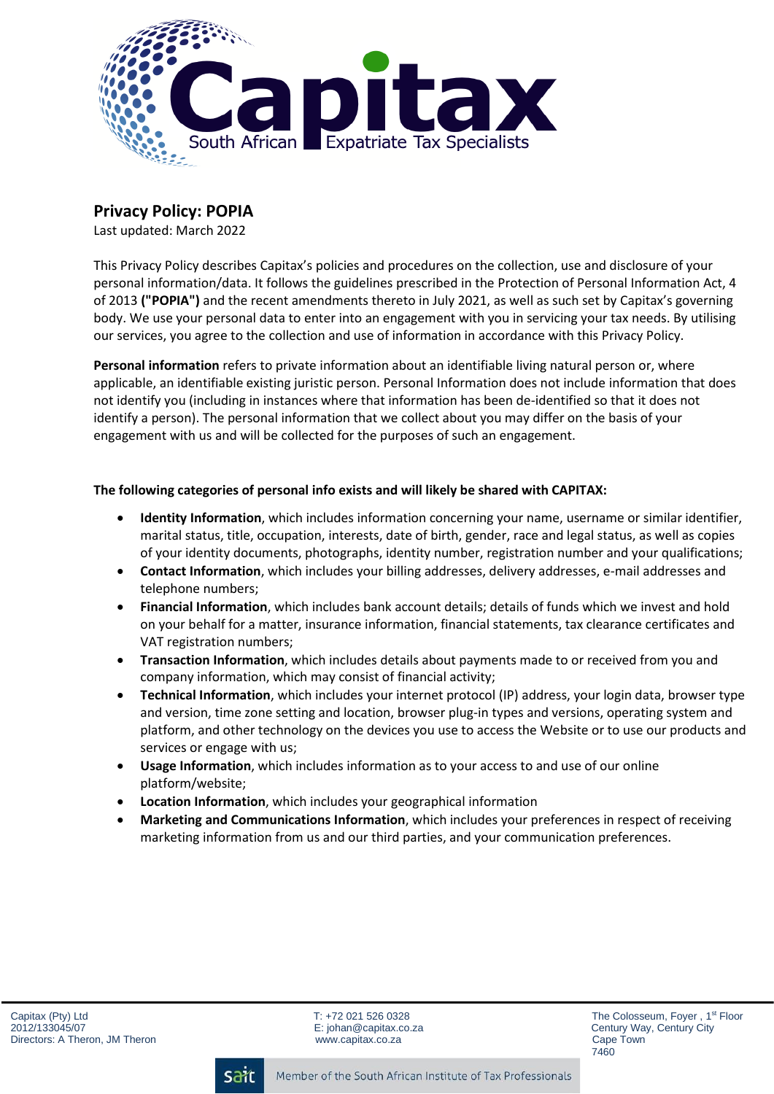

# **Privacy Policy: POPIA**

Last updated: March 2022

This Privacy Policy describes Capitax's policies and procedures on the collection, use and disclosure of your personal information/data. It follows the guidelines prescribed in the Protection of Personal Information Act, 4 of 2013 **("POPIA")** and the recent amendments thereto in July 2021, as well as such set by Capitax's governing body. We use your personal data to enter into an engagement with you in servicing your tax needs. By utilising our services, you agree to the collection and use of information in accordance with this Privacy Policy.

**Personal information** refers to private information about an identifiable living natural person or, where applicable, an identifiable existing juristic person. Personal Information does not include information that does not identify you (including in instances where that information has been de-identified so that it does not identify a person). The personal information that we collect about you may differ on the basis of your engagement with us and will be collected for the purposes of such an engagement.

## **The following categories of personal info exists and will likely be shared with CAPITAX:**

- **Identity Information**, which includes information concerning your name, username or similar identifier, marital status, title, occupation, interests, date of birth, gender, race and legal status, as well as copies of your identity documents, photographs, identity number, registration number and your qualifications;
- **Contact Information**, which includes your billing addresses, delivery addresses, e-mail addresses and telephone numbers;
- **Financial Information**, which includes bank account details; details of funds which we invest and hold on your behalf for a matter, insurance information, financial statements, tax clearance certificates and VAT registration numbers;
- **Transaction Information**, which includes details about payments made to or received from you and company information, which may consist of financial activity;
- **Technical Information**, which includes your internet protocol (IP) address, your login data, browser type and version, time zone setting and location, browser plug-in types and versions, operating system and platform, and other technology on the devices you use to access the Website or to use our products and services or engage with us;
- **Usage Information**, which includes information as to your access to and use of our online platform/website;
- **Location Information**, which includes your geographical information
- **Marketing and Communications Information**, which includes your preferences in respect of receiving marketing information from us and our third parties, and your communication preferences.

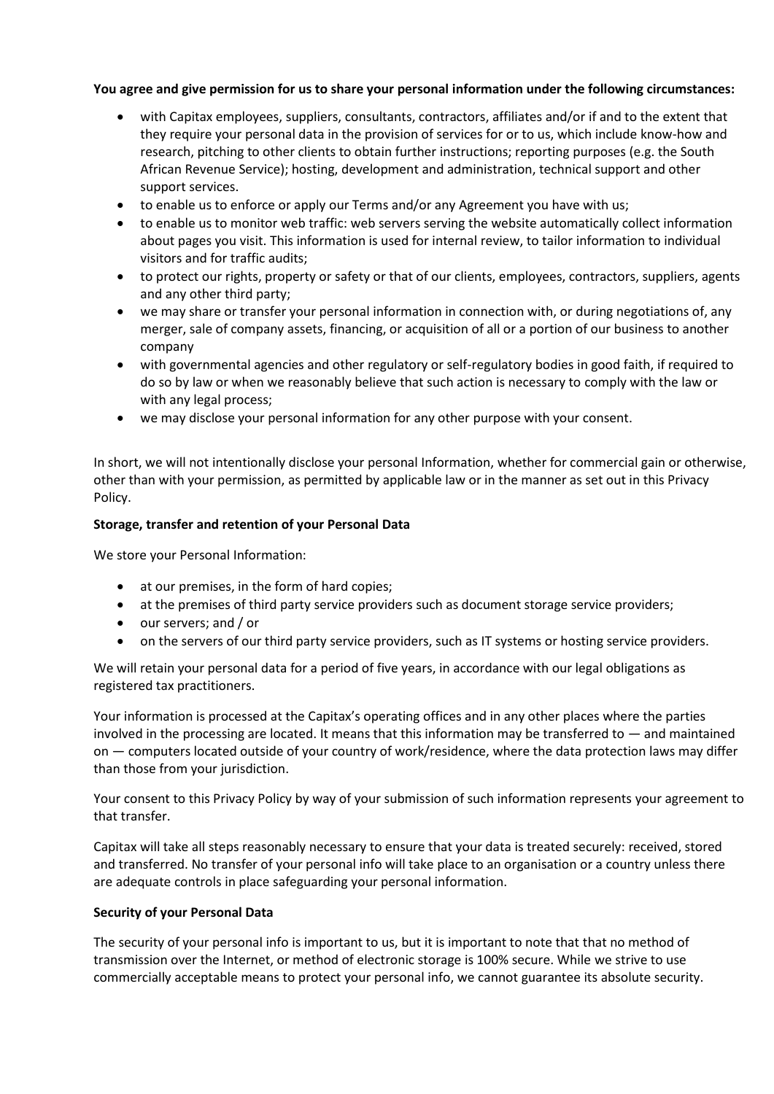#### **You agree and give permission for us to share your personal information under the following circumstances:**

- with Capitax employees, suppliers, consultants, contractors, affiliates and/or if and to the extent that they require your personal data in the provision of services for or to us, which include know-how and research, pitching to other clients to obtain further instructions; reporting purposes (e.g. the South African Revenue Service); hosting, development and administration, technical support and other support services.
- to enable us to enforce or apply our Terms and/or any Agreement you have with us;
- to enable us to monitor web traffic: web servers serving the website automatically collect information about pages you visit. This information is used for internal review, to tailor information to individual visitors and for traffic audits;
- to protect our rights, property or safety or that of our clients, employees, contractors, suppliers, agents and any other third party;
- we may share or transfer your personal information in connection with, or during negotiations of, any merger, sale of company assets, financing, or acquisition of all or a portion of our business to another company
- with governmental agencies and other regulatory or self-regulatory bodies in good faith, if required to do so by law or when we reasonably believe that such action is necessary to comply with the law or with any legal process;
- we may disclose your personal information for any other purpose with your consent.

In short, we will not intentionally disclose your personal Information, whether for commercial gain or otherwise, other than with your permission, as permitted by applicable law or in the manner as set out in this Privacy Policy.

#### **Storage, transfer and retention of your Personal Data**

We store your Personal Information:

- at our premises, in the form of hard copies;
- at the premises of third party service providers such as document storage service providers;
- our servers; and / or
- on the servers of our third party service providers, such as IT systems or hosting service providers.

We will retain your personal data for a period of five years, in accordance with our legal obligations as registered tax practitioners.

Your information is processed at the Capitax's operating offices and in any other places where the parties involved in the processing are located. It means that this information may be transferred to — and maintained on — computers located outside of your country of work/residence, where the data protection laws may differ than those from your jurisdiction.

Your consent to this Privacy Policy by way of your submission of such information represents your agreement to that transfer.

Capitax will take all steps reasonably necessary to ensure that your data is treated securely: received, stored and transferred. No transfer of your personal info will take place to an organisation or a country unless there are adequate controls in place safeguarding your personal information.

#### **Security of your Personal Data**

The security of your personal info is important to us, but it is important to note that that no method of transmission over the Internet, or method of electronic storage is 100% secure. While we strive to use commercially acceptable means to protect your personal info, we cannot guarantee its absolute security.